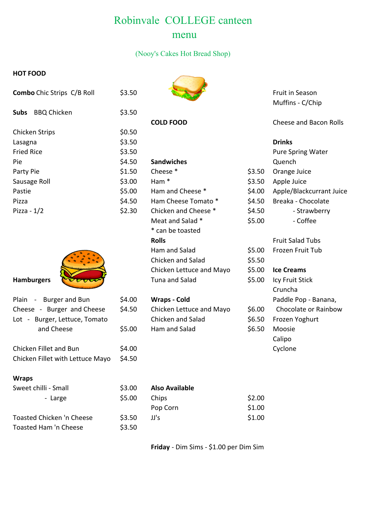## Robinvale COLLEGE canteen menu

#### (Nooy's Cakes Hot Bread Shop)

#### **HOT FOOD**

| <b>Combo</b> Chic Strips C/B Roll | \$3.50 |                      |        | Fruit in Season<br>Muffins - C/Chip |
|-----------------------------------|--------|----------------------|--------|-------------------------------------|
| <b>Subs</b><br><b>BBQ Chicken</b> | \$3.50 |                      |        |                                     |
|                                   |        | <b>COLD FOOD</b>     |        | Cheese and Bacon Rolls              |
| <b>Chicken Strips</b>             | \$0.50 |                      |        |                                     |
| Lasagna                           | \$3.50 |                      |        | <b>Drinks</b>                       |
| <b>Fried Rice</b>                 | \$3.50 |                      |        | <b>Pure Spring Water</b>            |
| Pie                               | \$4.50 | <b>Sandwiches</b>    |        | Quench                              |
| Party Pie                         | \$1.50 | Cheese *             | \$3.50 | Orange Juice                        |
| Sausage Roll                      | \$3.00 | Ham <sup>*</sup>     | \$3.50 | Apple Juice                         |
| Pastie                            | \$5.00 | Ham and Cheese *     | \$4.00 | Apple/Blackcurrant Juice            |
| Pizza                             | \$4.50 | Ham Cheese Tomato *  | \$4.50 | Breaka - Chocolate                  |
| Pizza - $1/2$                     | \$2.30 | Chicken and Cheese * | \$4.50 | - Strawberry                        |



| Plain - Burger and Bun           | \$4.00                                    | <b>Wraps - Cold</b>      |        | Paddle Pop - Banana, |
|----------------------------------|-------------------------------------------|--------------------------|--------|----------------------|
| Cheese - Burger and Cheese       | \$4.50                                    | Chicken Lettuce and Mayo | \$6.00 | Chocolate or Rainbow |
| Lot - Burger, Lettuce, Tomato    |                                           | Chicken and Salad        | \$6.50 | Frozen Yoghurt       |
| and Cheese                       | \$5.00                                    | Ham and Salad            | \$6.50 | Moosie               |
|                                  |                                           |                          |        | Calipo               |
| Chicken Fillet and Bun           | \$4.00                                    |                          |        | Cyclone              |
| Chicken Fillet with Lettuce Mayo | \$4.50                                    |                          |        |                      |
| <b>Wraps</b>                     |                                           |                          |        |                      |
| Sweet chilli - Small             | \$3.00                                    | <b>Also Available</b>    |        |                      |
| - Large                          | \$5.00                                    | Chips                    | \$2.00 |                      |
|                                  |                                           | Pop Corn                 | \$1.00 |                      |
|                                  | $\rightarrow$ $\rightarrow$ $\rightarrow$ |                          | .      |                      |

| Toasted Chicken 'n Cheese    |  |
|------------------------------|--|
| <b>Toasted Ham 'n Cheese</b> |  |



| <b>SUDS</b> BBQ Chicken       | \$3.50 |                          |        |                         |
|-------------------------------|--------|--------------------------|--------|-------------------------|
|                               |        | <b>COLD FOOD</b>         |        | Cheese and Baco         |
| <b>Chicken Strips</b>         | \$0.50 |                          |        |                         |
| Lasagna                       | \$3.50 |                          |        | <b>Drinks</b>           |
| <b>Fried Rice</b>             | \$3.50 |                          |        | Pure Spring Wat         |
| Pie                           | \$4.50 | <b>Sandwiches</b>        |        | Quench                  |
| Party Pie                     | \$1.50 | Cheese *                 | \$3.50 | Orange Juice            |
| Sausage Roll                  | \$3.00 | Ham <sup>*</sup>         | \$3.50 | Apple Juice             |
| Pastie                        | \$5.00 | Ham and Cheese *         | \$4.00 | Apple/Blackcurr         |
| Pizza                         | \$4.50 | Ham Cheese Tomato *      | \$4.50 | Breaka - Chocola        |
| Pizza - $1/2$                 | \$2.30 | Chicken and Cheese *     | \$4.50 | - Strawbe               |
|                               |        | Meat and Salad *         | \$5.00 | - Coffee                |
|                               |        | * can be toasted         |        |                         |
|                               |        | <b>Rolls</b>             |        | <b>Fruit Salad Tubs</b> |
|                               |        | Ham and Salad            | \$5.00 | Frozen Fruit Tub        |
|                               |        | Chicken and Salad        | \$5.50 |                         |
|                               |        | Chicken Lettuce and Mayo | \$5.00 | <b>Ice Creams</b>       |
| <b>Hamburgers</b>             |        | Tuna and Salad           | \$5.00 | Icy Fruit Stick         |
|                               |        |                          |        | Cruncha                 |
| Plain - Burger and Bun        | \$4.00 | <b>Wraps - Cold</b>      |        | Paddle Pop - Bar        |
| Cheese - Burger and Cheese    | \$4.50 | Chicken Lettuce and Mayo | \$6.00 | Chocolate or Ra         |
| Lot - Burger, Lettuce, Tomato |        | Chicken and Salad        | \$6.50 | Frozen Yoghurt          |
| and Cheese                    | \$5.00 | Ham and Salad            | \$6.50 | Moosie                  |
|                               |        |                          |        |                         |

|        | <b>Drinks</b>            |
|--------|--------------------------|
|        | <b>Pure Spring Water</b> |
|        | Quench                   |
| \$3.50 | Orange Juice             |
| \$3.50 | Apple Juice              |
| \$4.00 | Apple/Blackcurrant Juice |
| \$4.50 | Breaka - Chocolate       |
| \$4.50 | - Strawberry             |
| \$5.00 | - Coffee                 |
|        |                          |

|        | Fruit Salad Tubs     |
|--------|----------------------|
| 55.00  | Frozen Fruit Tub     |
| 55.50  |                      |
| 55.00  | <b>Ice Creams</b>    |
| 55.00  | Icy Fruit Stick      |
|        | Cruncha              |
|        | Paddle Pop - Banana, |
| ፡6.00  | Chocolate or Rainbow |
| ነ6.50  | Frozen Yoghurt       |
| \$6.50 | Moosie               |
|        | Calipo               |
|        | Cyclone              |
|        |                      |

| Also Available |  |
|----------------|--|
|                |  |

 $$3.50$ 

| - Large                   | \$5.00 | Chips    | \$2.00 |
|---------------------------|--------|----------|--------|
|                           |        | Pop Corn | \$1.00 |
| Toasted Chicken 'n Cheese | \$3.50 | JJ's     | \$1.00 |
| Toasted Ham 'n Cheese     | \$3.50 |          |        |

**Friday** - Dim Sims - \$1.00 per Dim Sim